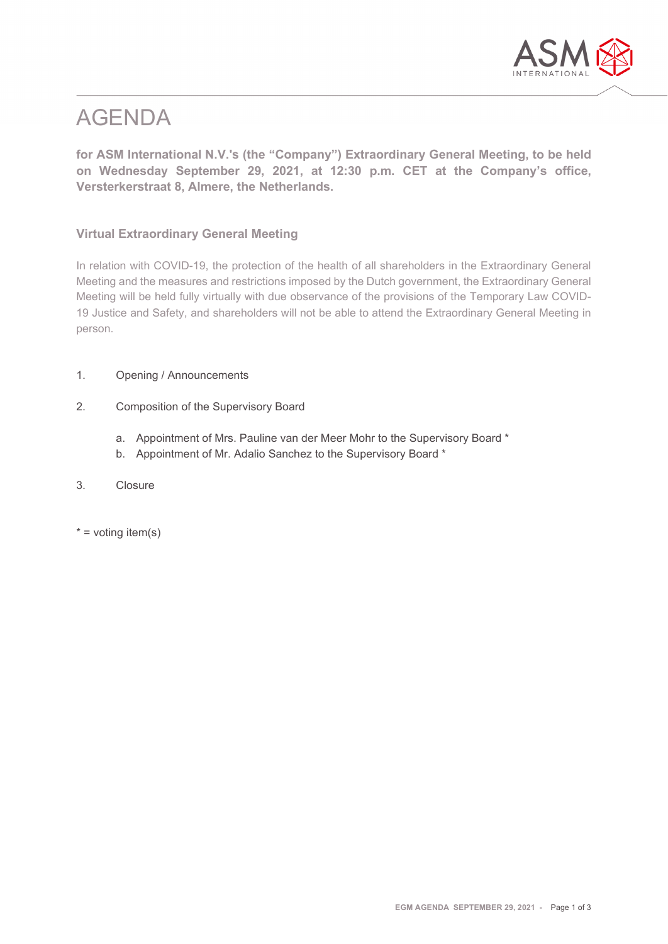

# AGENDA

**for ASM International N.V.'s (the "Company") Extraordinary General Meeting, to be held on Wednesday September 29, 2021, at 12:30 p.m. CET at the Company's office, Versterkerstraat 8, Almere, the Netherlands.**

## **Virtual Extraordinary General Meeting**

In relation with COVID-19, the protection of the health of all shareholders in the Extraordinary General Meeting and the measures and restrictions imposed by the Dutch government, the Extraordinary General Meeting will be held fully virtually with due observance of the provisions of the Temporary Law COVID-19 Justice and Safety, and shareholders will not be able to attend the Extraordinary General Meeting in person.

- 1. Opening / Announcements
- 2. Composition of the Supervisory Board
	- a. Appointment of Mrs. Pauline van der Meer Mohr to the Supervisory Board \*
	- b. Appointment of Mr. Adalio Sanchez to the Supervisory Board \*
- 3. Closure
- $*$  = voting item(s)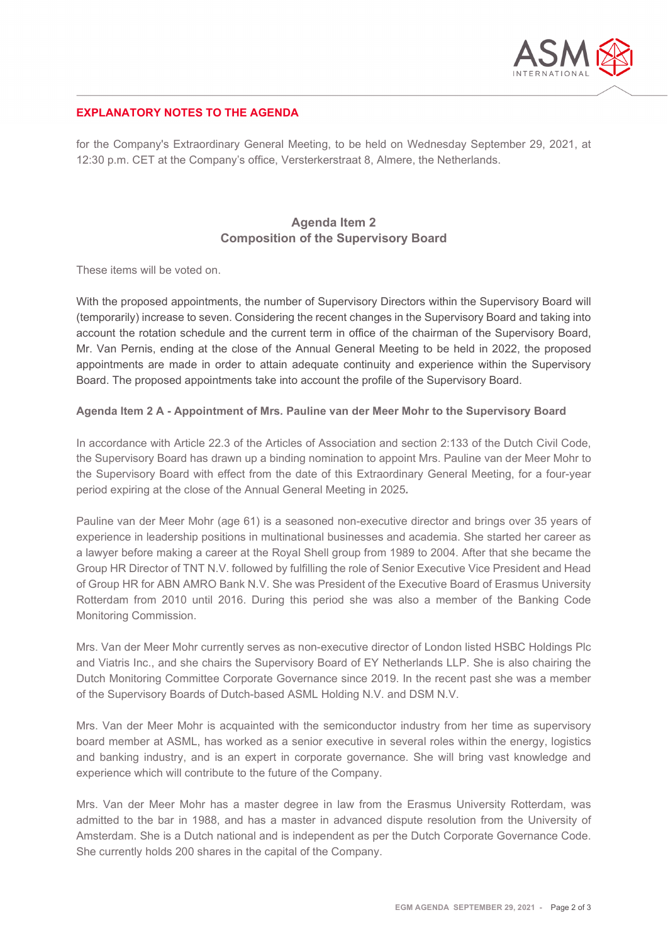

### **EXPLANATORY NOTES TO THE AGENDA**

for the Company's Extraordinary General Meeting, to be held on Wednesday September 29, 2021, at 12:30 p.m. CET at the Company's office, Versterkerstraat 8, Almere, the Netherlands.

# **Agenda Item 2 Composition of the Supervisory Board**

These items will be voted on.

With the proposed appointments, the number of Supervisory Directors within the Supervisory Board will (temporarily) increase to seven. Considering the recent changes in the Supervisory Board and taking into account the rotation schedule and the current term in office of the chairman of the Supervisory Board, Mr. Van Pernis, ending at the close of the Annual General Meeting to be held in 2022, the proposed appointments are made in order to attain adequate continuity and experience within the Supervisory Board. The proposed appointments take into account the profile of the Supervisory Board.

#### **Agenda Item 2 A - Appointment of Mrs. Pauline van der Meer Mohr to the Supervisory Board**

In accordance with Article 22.3 of the Articles of Association and section 2:133 of the Dutch Civil Code, the Supervisory Board has drawn up a binding nomination to appoint Mrs. Pauline van der Meer Mohr to the Supervisory Board with effect from the date of this Extraordinary General Meeting, for a four-year period expiring at the close of the Annual General Meeting in 2025*.*

Pauline van der Meer Mohr (age 61) is a seasoned non-executive director and brings over 35 years of experience in leadership positions in multinational businesses and academia. She started her career as a lawyer before making a career at the Royal Shell group from 1989 to 2004. After that she became the Group HR Director of TNT N.V. followed by fulfilling the role of Senior Executive Vice President and Head of Group HR for ABN AMRO Bank N.V. She was President of the Executive Board of Erasmus University Rotterdam from 2010 until 2016. During this period she was also a member of the Banking Code Monitoring Commission.

Mrs. Van der Meer Mohr currently serves as non-executive director of London listed HSBC Holdings Plc and Viatris Inc., and she chairs the Supervisory Board of EY Netherlands LLP. She is also chairing the Dutch Monitoring Committee Corporate Governance since 2019. In the recent past she was a member of the Supervisory Boards of Dutch-based ASML Holding N.V. and DSM N.V.

Mrs. Van der Meer Mohr is acquainted with the semiconductor industry from her time as supervisory board member at ASML, has worked as a senior executive in several roles within the energy, logistics and banking industry, and is an expert in corporate governance. She will bring vast knowledge and experience which will contribute to the future of the Company.

Mrs. Van der Meer Mohr has a master degree in law from the Erasmus University Rotterdam, was admitted to the bar in 1988, and has a master in advanced dispute resolution from the University of Amsterdam. She is a Dutch national and is independent as per the Dutch Corporate Governance Code. She currently holds 200 shares in the capital of the Company.